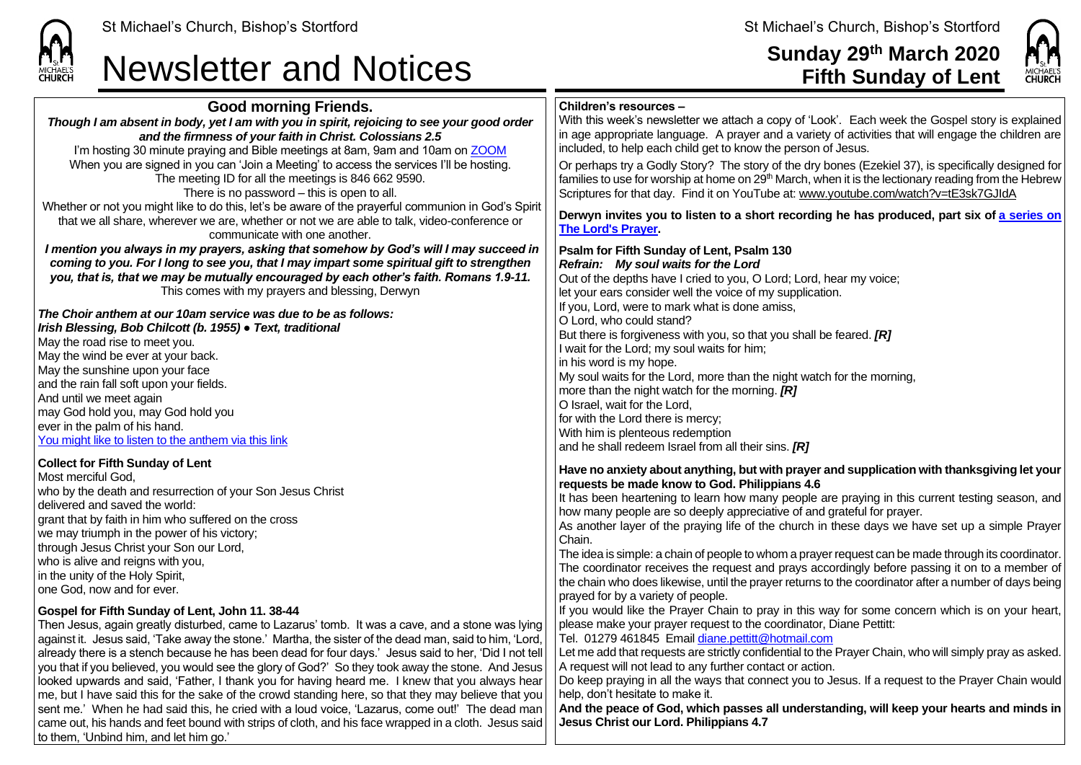

### **Sunday 29th March 2020 Fifth Sunday of Lent**

MICHAEL'S<br>**CHURCH** 



With this week's newsletter we attach a copy of 'Look'. Each week the Gospel story is explained in age appropriate language. A prayer and a variety of activities that will engage the children are included, to help each child get to know the person of Jesus.

Or perhaps try a Godly Story? The story of the dry bones (Ezekiel 37), is specifically designed for families to use for worship at home on  $29<sup>th</sup>$  March, when it is the lectionary reading from the Hebrew Scriptures for that day. Find it on YouTube at: [www.youtube.com/watch?v=tE3sk7GJIdA](http://www.youtube.com/watch?v=tE3sk7GJIdA)

**Derwyn invites you to listen to a short recording he has produced, part six of [a series on](https://saintmichaelweb.org.uk/media/allmedia.aspx)  [The Lord's](https://saintmichaelweb.org.uk/media/allmedia.aspx) Prayer.**

**Psalm for Fifth Sunday of Lent, Psalm 130** *Refrain:**My soul waits for the Lord* Out of the depths have I cried to you, O Lord; Lord, hear my voice; let your ears consider well the voice of my supplication. If you, Lord, were to mark what is done amiss, O Lord, who could stand? But there is forgiveness with you, so that you shall be feared. *[R]* I wait for the Lord; my soul waits for him; in his word is my hope. My soul waits for the Lord, more than the night watch for the morning, more than the night watch for the morning. *[R]* O Israel, wait for the Lord, for with the Lord there is mercy; With him is plenteous redemption and he shall redeem Israel from all their sins. *[R]*

#### **Have no anxiety about anything, but with prayer and supplication with thanksgiving let your requests be made know to God. Philippians 4.6**

It has been heartening to learn how many people are praying in this current testing season, and how many people are so deeply appreciative of and grateful for prayer.

As another layer of the praying life of the church in these days we have set up a simple Prayer Chain.

The idea is simple: a chain of people to whom a prayer request can be made through its coordinator. The coordinator receives the request and prays accordingly before passing it on to a member of the chain who does likewise, until the prayer returns to the coordinator after a number of days being prayed for by a variety of people.

If you would like the Prayer Chain to pray in this way for some concern which is on your heart, please make your prayer request to the coordinator, Diane Pettitt:

Tel. 01279 461845 Email [diane.pettitt@hotmail.com](mailto:diane.pettitt@hotmail.com)

Let me add that requests are strictly confidential to the Prayer Chain, who will simply pray as asked. A request will not lead to any further contact or action.

Do keep praying in all the ways that connect you to Jesus. If a request to the Prayer Chain would help, don't hesitate to make it.

**And the peace of God, which passes all understanding, will keep your hearts and minds in Jesus Christ our Lord. Philippians 4.7**

**Newsletter and Notices** 

**Good morning Friends.** *Though I am absent in body, yet I am with you in spirit, rejoicing to see your good order and the firmness of your faith in Christ. Colossians 2.5*

I'm hosting 30 minute praying and Bible meetings at 8am, 9am and 10am o[n ZOOM](https://zoom.us/signup) When you are signed in you can 'Join a Meeting' to access the services I'll be hosting. The meeting ID for all the meetings is 846 662 9590. There is no password – this is open to all. Whether or not you might like to do this, let's be aware of the prayerful communion in God's Spirit that we all share, wherever we are, whether or not we are able to talk, video-conference or communicate with one another. *I mention you always in my prayers, asking that somehow by God's will I may succeed in coming to you. For I long to see you, that I may impart some spiritual gift to strengthen you, that is, that we may be mutually encouraged by each other's faith. Romans 1.9-11.* This comes with my prayers and blessing, Derwyn *The Choir anthem at our 10am service was due to be as follows: Irish Blessing, Bob Chilcott (b. 1955) ● Text, traditional* May the road rise to meet you. May the wind be ever at your back. May the sunshine upon your face and the rain fall soft upon your fields. And until we meet again may God hold you, may God hold you ever in the palm of his hand. [You might like to listen to the anthem via this link](https://www.youtube.com/watch?v=PO3j6Hl_-Yw) **Collect for Fifth Sunday of Lent** Most merciful God, who by the death and resurrection of your Son Jesus Christ delivered and saved the world: grant that by faith in him who suffered on the cross we may triumph in the power of his victory; through Jesus Christ your Son our Lord, who is alive and reigns with you. in the unity of the Holy Spirit, one God, now and for ever. **Gospel for Fifth Sunday of Lent, John 11. 38-44** Then Jesus, again greatly disturbed, came to Lazarus' tomb. It was a cave, and a stone was lying against it. Jesus said, 'Take away the stone.' Martha, the sister of the dead man, said to him, 'Lord, already there is a stench because he has been dead for four days.' Jesus said to her, 'Did I not tell you that if you believed, you would see the glory of God?' So they took away the stone. And Jesus looked upwards and said, 'Father, I thank you for having heard me. I knew that you always hear me, but I have said this for the sake of the crowd standing here, so that they may believe that you sent me.' When he had said this, he cried with a loud voice, 'Lazarus, come out!' The dead man came out, his hands and feet bound with strips of cloth, and his face wrapped in a cloth. Jesus said to them, 'Unbind him, and let him go.'